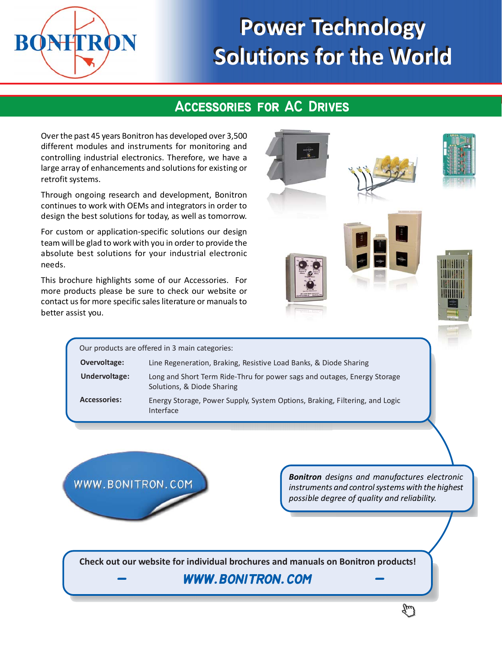

# **Power Technology Power Technology Solutions for the World Solutions for the World**

# **Accessories for AC Drives Accessories for AC Drives**

Over the past 45 years Bonitron has developed over 3,500 different modules and instruments for monitoring and controlling industrial electronics. Therefore, we have a large array of enhancements and solutions for existing or retrofit systems.

Through ongoing research and development, Bonitron continues to work with OEMs and integrators in order to design the best solutions for today, as well as tomorrow.

For custom or application-specific solutions our design team will be glad to work with you in order to provide the absolute best solutions for your industrial electronic needs.

This brochure highlights some of our Accessories. For more products please be sure to check our website or contact us for more specific sales literature or manuals to better assist you.



Our products are offered in 3 main categories: **Overvoltage: Accessories:** Line Regeneration, Braking, Resistive Load Banks, & Diode Sharing Long and Short Term Ride-Thru for power sags and outages, Energy Storage Solutions, & Diode Sharing Energy Storage, Power Supply, System Options, Braking, Filtering, and Logic Interface **Undervoltage:**

WWW.BONITRON.COM

*Bonitron designs and manufactures electronic instruments and control systems with the highest possible degree of quality and reliability.*

**Check out our website for individual brochures and manuals on Bonitron products!**

# **- www.bonitron.com - - www.bonitron.com -**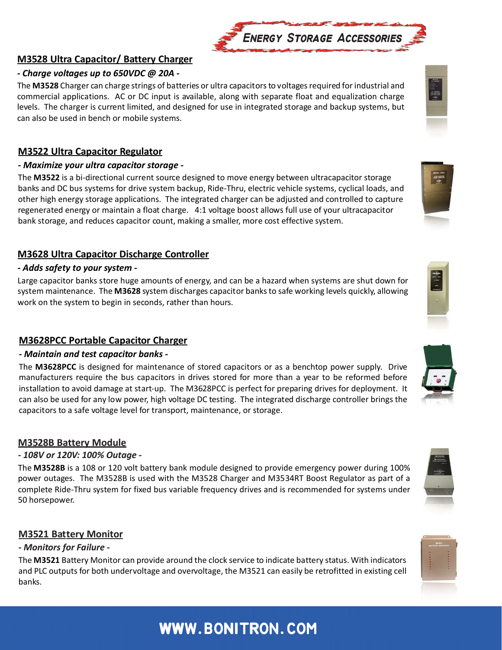# **www.bonitron.com www.bonitron.com**

#### **M3528 Ultra Capacitor/ Battery Charger**

#### *- Charge voltages up to 650VDC @ 20A -*

The **M3528** Charger can charge strings of batteries or ultra capacitors to voltages required for industrial and commercial applications. AC or DC input is available, along with separate float and equalization charge levels. The charger is current limited, and designed for use in integrated storage and backup systems, but can also be used in bench or mobile systems.

## **M3522 Ultra Capacitor Regulator**

#### *- Maximize your ultra capacitor storage -*

The **M3522** is a bi-directional current source designed to move energy between ultracapacitor storage banks and DC bus systems for drive system backup, Ride-Thru, electric vehicle systems, cyclical loads, and other high energy storage applications. The integrated charger can be adjusted and controlled to capture regenerated energy or maintain a float charge. 4:1 voltage boost allows full use of your ultracapacitor bank storage, and reduces capacitor count, making a smaller, more cost effective system.

# **M3628 Ultra Capacitor Discharge Controller**

#### *- Adds safety to your system -*

Large capacitor banks store huge amounts of energy, and can be a hazard when systems are shut down for system maintenance. The **M3628** system discharges capacitor banks to safe working levels quickly, allowing work on the system to begin in seconds, rather than hours.

# **M3628PCC Portable Capacitor Charger**

#### *- Maintain and test capacitor banks -*

The **M3628PCC** is designed for maintenance of stored capacitors or as a benchtop power supply. Drive manufacturers require the bus capacitors in drives stored for more than a year to be reformed before installation to avoid damage at start-up. The M3628PCC is perfect for preparing drives for deployment. It can also be used for any low power, high voltage DC testing. The integrated discharge controller brings the capacitors to a safe voltage level for transport, maintenance, or storage.

# **M3528B Battery Module**

#### *- 108V or 120V: 100% Outage -*

The **M3528B** is a 108 or 120 volt battery bank module designed to provide emergency power during 100% power outages. The M3528B is used with the M3528 Charger and M3534RT Boost Regulator as part of a complete Ride-Thru system for fixed bus variable frequency drives and is recommended for systems under 50 horsepower.

#### **M3521 Battery Monitor**

#### *- Monitors for Failure -*

The **M3521** Battery Monitor can provide around the clock service to indicate battery status. With indicators and PLC outputs for both undervoltage and overvoltage, the M3521 can easily be retrofitted in existing cell banks.











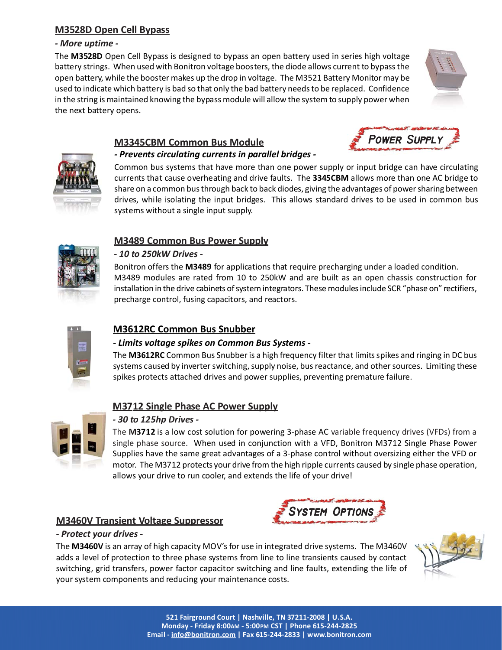#### **M3528D Open Cell Bypass**

#### *- More uptime -*

The **M3528D** Open Cell Bypass is designed to bypass an open battery used in series high voltage battery strings. When used with Bonitron voltage boosters, the diode allows current to bypass the open battery, while the booster makes up the drop in voltage. The M3521 Battery Monitor may be used to indicate which battery is bad so that only the bad battery needs to be replaced. Confidence in the string is maintained knowing the bypass module will allow the system to supply power when the next battery opens.





#### **M3345CBM Common Bus Module** *- Prevents circulating currents in parallel bridges -*

Common bus systems that have more than one power supply or input bridge can have circulating currents that cause overheating and drive faults. The **3345CBM** allows more than one AC bridge to share on a common bus through back to back diodes, giving the advantages of power sharing between drives, while isolating the input bridges. This allows standard drives to be used in common bus systems without a single input supply.

#### **M3489 Common Bus Power Supply**



#### *- 10 to 250kW Drives -*

Bonitron offers the **M3489** for applications that require precharging under a loaded condition. M3489 modules are rated from 10 to 250kW and are built as an open chassis construction for installation in the drive cabinets of system integrators. These modules include SCR "phase on" rectifiers, precharge control, fusing capacitors, and reactors.



#### **M3612RC Common Bus Snubber**

#### *- Limits voltage spikes on Common Bus Systems -*

The **M3612RC** Common Bus Snubber is a high frequency filter that limits spikes and ringing in DC bus systems caused by inverter switching, supply noise, bus reactance, and other sources. Limiting these spikes protects attached drives and power supplies, preventing premature failure.

#### **M3712 Single Phase AC Power Supply**



#### *- 30 to 125hp Drives -*

The **M3712** is a low cost solution for powering 3-phase AC variable frequency drives (VFDs) from a single phase source. When used in conjunction with a VFD, Bonitron M3712 Single Phase Power Supplies have the same great advantages of a 3-phase control without oversizing either the VFD or motor. The M3712 protects your drive from the high ripple currents caused by single phase operation, allows your drive to run cooler, and extends the life of your drive!



# **M3460V Transient Voltage Suppressor**

#### *- Protect your drives -*

The **M3460V** is an array of high capacity MOV's for use in integrated drive systems. The M3460V adds a level of protection to three phase systems from line to line transients caused by contact switching, grid transfers, power factor capacitor switching and line faults, extending the life of your system components and reducing your maintenance costs.